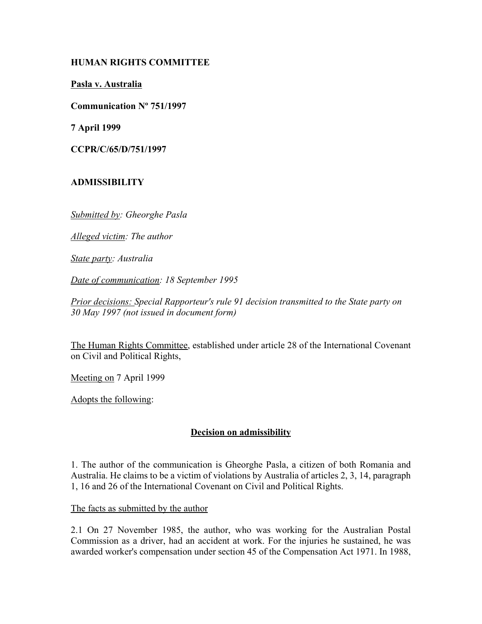# **HUMAN RIGHTS COMMITTEE**

**Pasla v. Australia**

**Communication Nº 751/1997**

**7 April 1999**

**CCPR/C/65/D/751/1997** 

# **ADMISSIBILITY**

*Submitted by: Gheorghe Pasla*

*Alleged victim: The author*

*State party: Australia*

*Date of communication: 18 September 1995*

*Prior decisions: Special Rapporteur's rule 91 decision transmitted to the State party on 30 May 1997 (not issued in document form)*

The Human Rights Committee, established under article 28 of the International Covenant on Civil and Political Rights,

Meeting on 7 April 1999

Adopts the following:

# **Decision on admissibility**

1. The author of the communication is Gheorghe Pasla, a citizen of both Romania and Australia. He claims to be a victim of violations by Australia of articles 2, 3, 14, paragraph 1, 16 and 26 of the International Covenant on Civil and Political Rights.

The facts as submitted by the author

2.1 On 27 November 1985, the author, who was working for the Australian Postal Commission as a driver, had an accident at work. For the injuries he sustained, he was awarded worker's compensation under section 45 of the Compensation Act 1971. In 1988,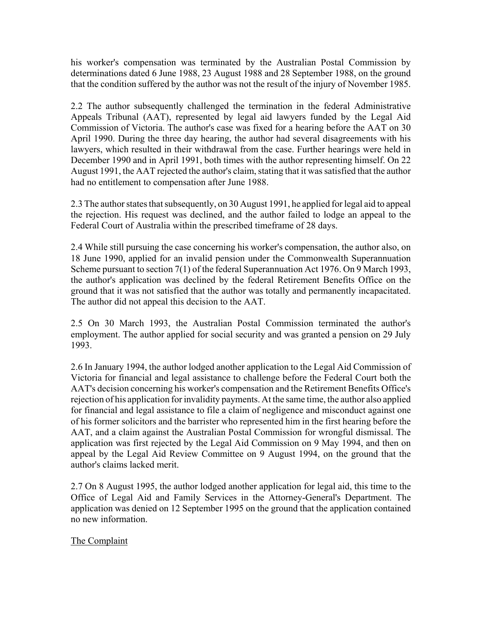his worker's compensation was terminated by the Australian Postal Commission by determinations dated 6 June 1988, 23 August 1988 and 28 September 1988, on the ground that the condition suffered by the author was not the result of the injury of November 1985.

2.2 The author subsequently challenged the termination in the federal Administrative Appeals Tribunal (AAT), represented by legal aid lawyers funded by the Legal Aid Commission of Victoria. The author's case was fixed for a hearing before the AAT on 30 April 1990. During the three day hearing, the author had several disagreements with his lawyers, which resulted in their withdrawal from the case. Further hearings were held in December 1990 and in April 1991, both times with the author representing himself. On 22 August 1991, the AAT rejected the author's claim, stating that it was satisfied that the author had no entitlement to compensation after June 1988.

2.3 The author states that subsequently, on 30 August 1991, he applied for legal aid to appeal the rejection. His request was declined, and the author failed to lodge an appeal to the Federal Court of Australia within the prescribed timeframe of 28 days.

2.4 While still pursuing the case concerning his worker's compensation, the author also, on 18 June 1990, applied for an invalid pension under the Commonwealth Superannuation Scheme pursuant to section 7(1) of the federal Superannuation Act 1976. On 9 March 1993, the author's application was declined by the federal Retirement Benefits Office on the ground that it was not satisfied that the author was totally and permanently incapacitated. The author did not appeal this decision to the AAT.

2.5 On 30 March 1993, the Australian Postal Commission terminated the author's employment. The author applied for social security and was granted a pension on 29 July 1993.

2.6 In January 1994, the author lodged another application to the Legal Aid Commission of Victoria for financial and legal assistance to challenge before the Federal Court both the AAT's decision concerning his worker's compensation and the Retirement Benefits Office's rejection of his application for invalidity payments. At the same time, the author also applied for financial and legal assistance to file a claim of negligence and misconduct against one of his former solicitors and the barrister who represented him in the first hearing before the AAT, and a claim against the Australian Postal Commission for wrongful dismissal. The application was first rejected by the Legal Aid Commission on 9 May 1994, and then on appeal by the Legal Aid Review Committee on 9 August 1994, on the ground that the author's claims lacked merit.

2.7 On 8 August 1995, the author lodged another application for legal aid, this time to the Office of Legal Aid and Family Services in the Attorney-General's Department. The application was denied on 12 September 1995 on the ground that the application contained no new information.

The Complaint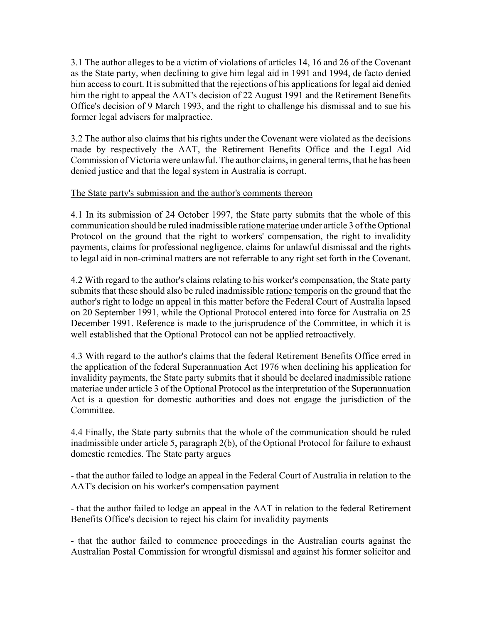3.1 The author alleges to be a victim of violations of articles 14, 16 and 26 of the Covenant as the State party, when declining to give him legal aid in 1991 and 1994, de facto denied him access to court. It is submitted that the rejections of his applications for legal aid denied him the right to appeal the AAT's decision of 22 August 1991 and the Retirement Benefits Office's decision of 9 March 1993, and the right to challenge his dismissal and to sue his former legal advisers for malpractice.

3.2 The author also claims that his rights under the Covenant were violated as the decisions made by respectively the AAT, the Retirement Benefits Office and the Legal Aid Commission of Victoria were unlawful. The author claims, in general terms, that he has been denied justice and that the legal system in Australia is corrupt.

#### The State party's submission and the author's comments thereon

4.1 In its submission of 24 October 1997, the State party submits that the whole of this communication should be ruled inadmissible ratione materiae under article 3 of the Optional Protocol on the ground that the right to workers' compensation, the right to invalidity payments, claims for professional negligence, claims for unlawful dismissal and the rights to legal aid in non-criminal matters are not referrable to any right set forth in the Covenant.

4.2 With regard to the author's claims relating to his worker's compensation, the State party submits that these should also be ruled inadmissible ratione temporis on the ground that the author's right to lodge an appeal in this matter before the Federal Court of Australia lapsed on 20 September 1991, while the Optional Protocol entered into force for Australia on 25 December 1991. Reference is made to the jurisprudence of the Committee, in which it is well established that the Optional Protocol can not be applied retroactively.

4.3 With regard to the author's claims that the federal Retirement Benefits Office erred in the application of the federal Superannuation Act 1976 when declining his application for invalidity payments, the State party submits that it should be declared inadmissible ratione materiae under article 3 of the Optional Protocol as the interpretation of the Superannuation Act is a question for domestic authorities and does not engage the jurisdiction of the **Committee** 

4.4 Finally, the State party submits that the whole of the communication should be ruled inadmissible under article 5, paragraph 2(b), of the Optional Protocol for failure to exhaust domestic remedies. The State party argues

- that the author failed to lodge an appeal in the Federal Court of Australia in relation to the AAT's decision on his worker's compensation payment

- that the author failed to lodge an appeal in the AAT in relation to the federal Retirement Benefits Office's decision to reject his claim for invalidity payments

- that the author failed to commence proceedings in the Australian courts against the Australian Postal Commission for wrongful dismissal and against his former solicitor and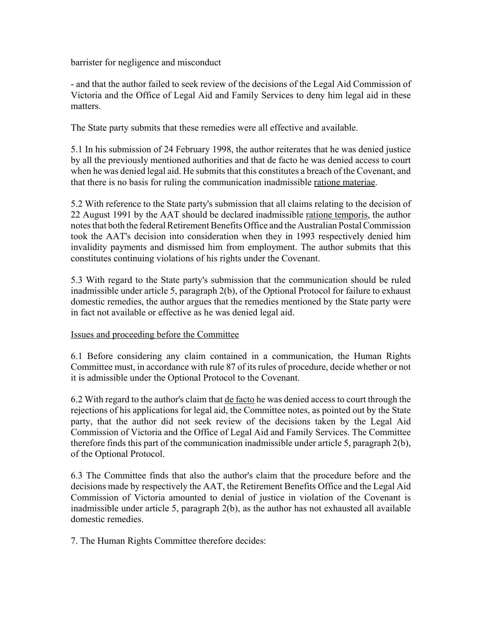barrister for negligence and misconduct

- and that the author failed to seek review of the decisions of the Legal Aid Commission of Victoria and the Office of Legal Aid and Family Services to deny him legal aid in these matters.

The State party submits that these remedies were all effective and available.

5.1 In his submission of 24 February 1998, the author reiterates that he was denied justice by all the previously mentioned authorities and that de facto he was denied access to court when he was denied legal aid. He submits that this constitutes a breach of the Covenant, and that there is no basis for ruling the communication inadmissible ratione materiae.

5.2 With reference to the State party's submission that all claims relating to the decision of 22 August 1991 by the AAT should be declared inadmissible ratione temporis, the author notes that both the federal Retirement Benefits Office and the Australian Postal Commission took the AAT's decision into consideration when they in 1993 respectively denied him invalidity payments and dismissed him from employment. The author submits that this constitutes continuing violations of his rights under the Covenant.

5.3 With regard to the State party's submission that the communication should be ruled inadmissible under article 5, paragraph 2(b), of the Optional Protocol for failure to exhaust domestic remedies, the author argues that the remedies mentioned by the State party were in fact not available or effective as he was denied legal aid.

#### Issues and proceeding before the Committee

6.1 Before considering any claim contained in a communication, the Human Rights Committee must, in accordance with rule 87 of its rules of procedure, decide whether or not it is admissible under the Optional Protocol to the Covenant.

6.2 With regard to the author's claim that de facto he was denied access to court through the rejections of his applications for legal aid, the Committee notes, as pointed out by the State party, that the author did not seek review of the decisions taken by the Legal Aid Commission of Victoria and the Office of Legal Aid and Family Services. The Committee therefore finds this part of the communication inadmissible under article 5, paragraph 2(b), of the Optional Protocol.

6.3 The Committee finds that also the author's claim that the procedure before and the decisions made by respectively the AAT, the Retirement Benefits Office and the Legal Aid Commission of Victoria amounted to denial of justice in violation of the Covenant is inadmissible under article 5, paragraph 2(b), as the author has not exhausted all available domestic remedies.

7. The Human Rights Committee therefore decides: